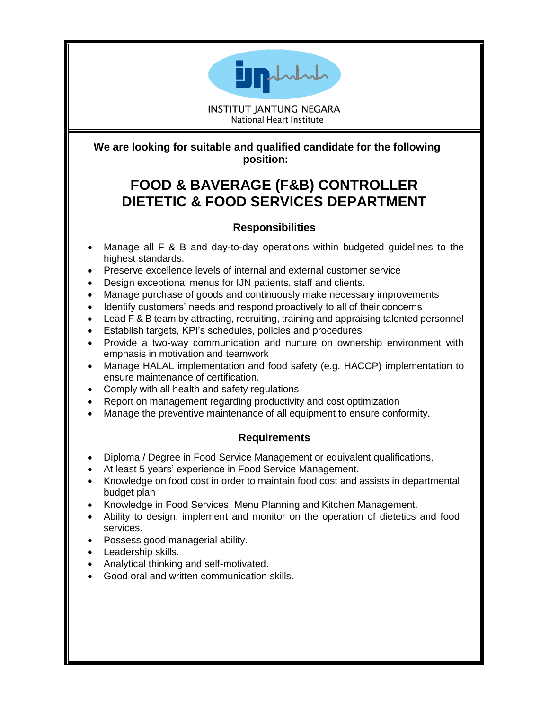

**INSTITUT JANTUNG NEGARA National Heart Institute** 

**We are looking for suitable and qualified candidate for the following position:**

## **FOOD & BAVERAGE (F&B) CONTROLLER DIETETIC & FOOD SERVICES DEPARTMENT**

## **Responsibilities**

- Manage all F & B and day-to-day operations within budgeted guidelines to the highest standards.
- Preserve excellence levels of internal and external customer service
- Design exceptional menus for IJN patients, staff and clients.
- Manage purchase of goods and continuously make necessary improvements
- Identify customers' needs and respond proactively to all of their concerns
- Lead F & B team by attracting, recruiting, training and appraising talented personnel
- Establish targets, KPI's schedules, policies and procedures
- Provide a two-way communication and nurture on ownership environment with emphasis in motivation and teamwork
- Manage HALAL implementation and food safety (e.g. HACCP) implementation to ensure maintenance of certification.
- Comply with all health and safety regulations
- Report on management regarding productivity and cost optimization
- Manage the preventive maintenance of all equipment to ensure conformity.

## **Requirements**

- Diploma / Degree in Food Service Management or equivalent qualifications.
- At least 5 years' experience in Food Service Management.
- Knowledge on food cost in order to maintain food cost and assists in departmental budget plan
- Knowledge in Food Services, Menu Planning and Kitchen Management.
- Ability to design, implement and monitor on the operation of dietetics and food services.
- Possess good managerial ability.
- Leadership skills.
- Analytical thinking and self-motivated.
- Good oral and written communication skills.